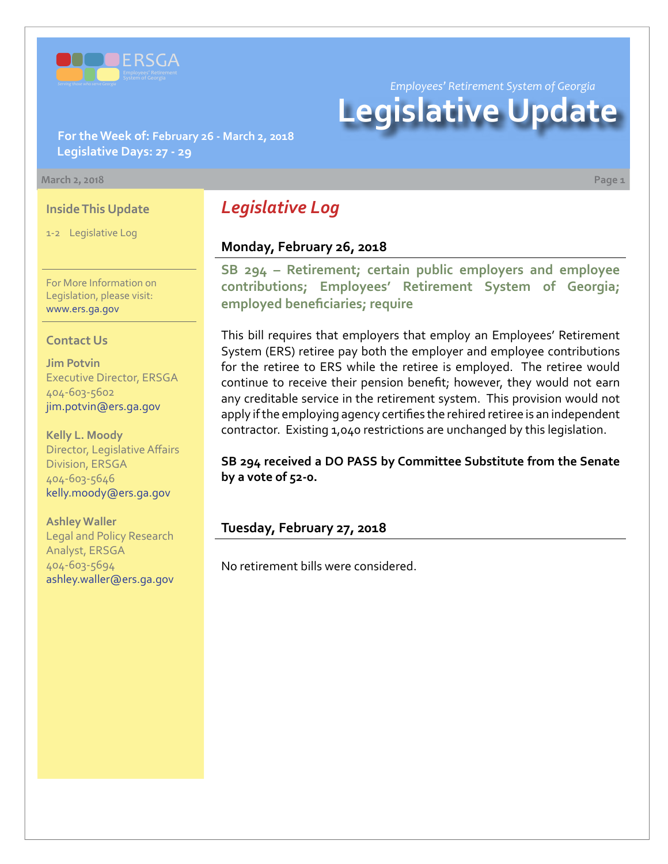

*Employees' Retirement System of Georgia*

# **Legislative Update**

**For the Week of: February 26 - March 2, 2018 Legislative Days: 27 - 29**

#### **March 2, 2018 Page 1**

#### **Inside This Update**

1-2 Legislative Log

For More Information on Legislation, please visit: [www.ers.ga.gov](http://www.ers.ga.gov/)

#### **Contact Us**

**Jim Potvin** Executive Director, ERSGA 404-603-5602 jim.potvin@ers.ga.gov

**Kelly L. Moody** Director, Legislative Affairs Division, ERSGA 404-603-5646 kelly.moody@ers.ga.gov

**Ashley Waller** Legal and Policy Research Analyst, ERSGA 404-603-5694 ashley.waller@ers.ga.gov

# *Legislative Log*

## **Monday, February 26, 2018**

**SB 294 [– R](http://www.legis.ga.gov/legislation/en-US/Display/20172018/SB/294)etirement; certain public employers and employee contributions; Employees' Retirement System of Georgia; employed beneficiaries; require**

This bill requires that employers that employ an Employees' Retirement System (ERS) retiree pay both the employer and employee contributions for the retiree to ERS while the retiree is employed. The retiree would continue to receive their pension benefit; however, they would not earn any creditable service in the retirement system. This provision would not apply if the employing agency certifies the rehired retiree is an independent contractor. Existing 1,040 restrictions are unchanged by this legislation.

**SB 294 received a DO PASS by Committee Substitute from the Senate by a vote of 52-0.**

# **Tuesday, February 27, 2018**

No retirement bills were considered.